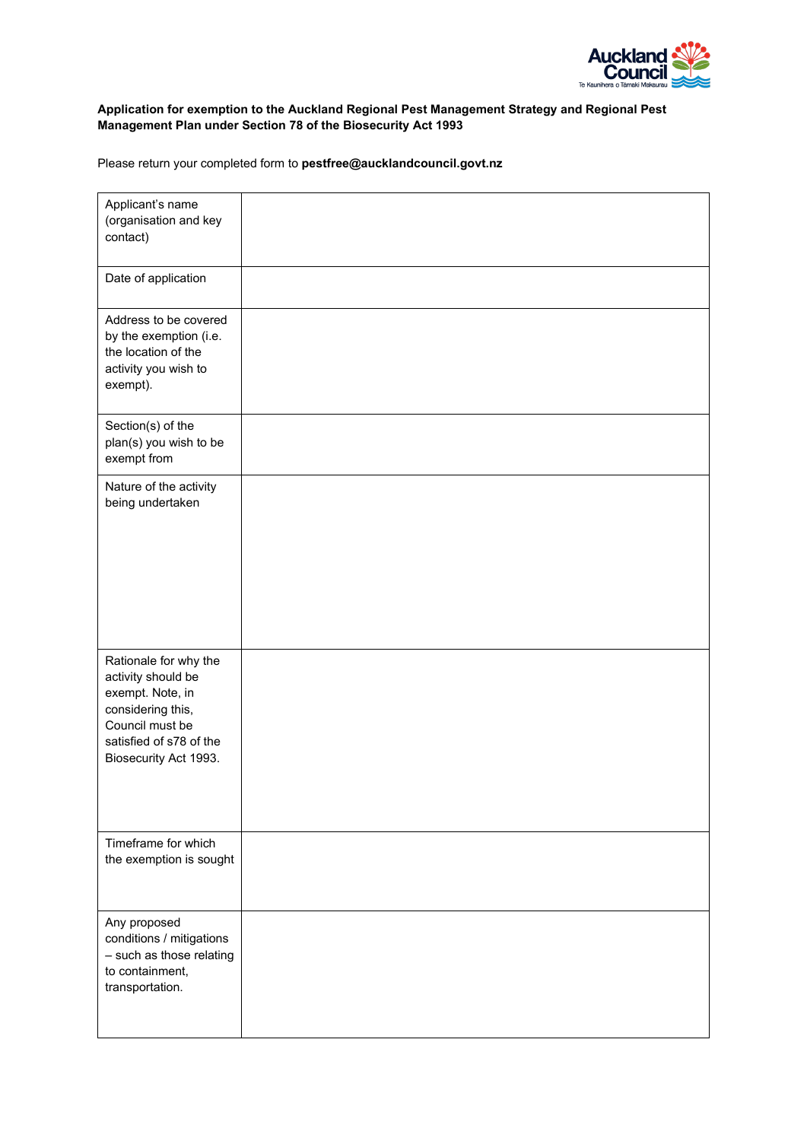

## **Application for exemption to the Auckland Regional Pest Management Strategy and Regional Pest Management Plan under Section 78 of the Biosecurity Act 1993**

Please return your completed form to **pestfree@aucklandcouncil.govt.nz**

| Applicant's name<br>(organisation and key<br>contact)                                                                                                       |  |
|-------------------------------------------------------------------------------------------------------------------------------------------------------------|--|
| Date of application                                                                                                                                         |  |
| Address to be covered<br>by the exemption (i.e.<br>the location of the<br>activity you wish to<br>exempt).                                                  |  |
| Section(s) of the<br>plan(s) you wish to be<br>exempt from                                                                                                  |  |
| Nature of the activity<br>being undertaken                                                                                                                  |  |
| Rationale for why the<br>activity should be<br>exempt. Note, in<br>considering this,<br>Council must be<br>satisfied of s78 of the<br>Biosecurity Act 1993. |  |
| Timeframe for which<br>the exemption is sought                                                                                                              |  |
| Any proposed<br>conditions / mitigations<br>- such as those relating<br>to containment,<br>transportation.                                                  |  |